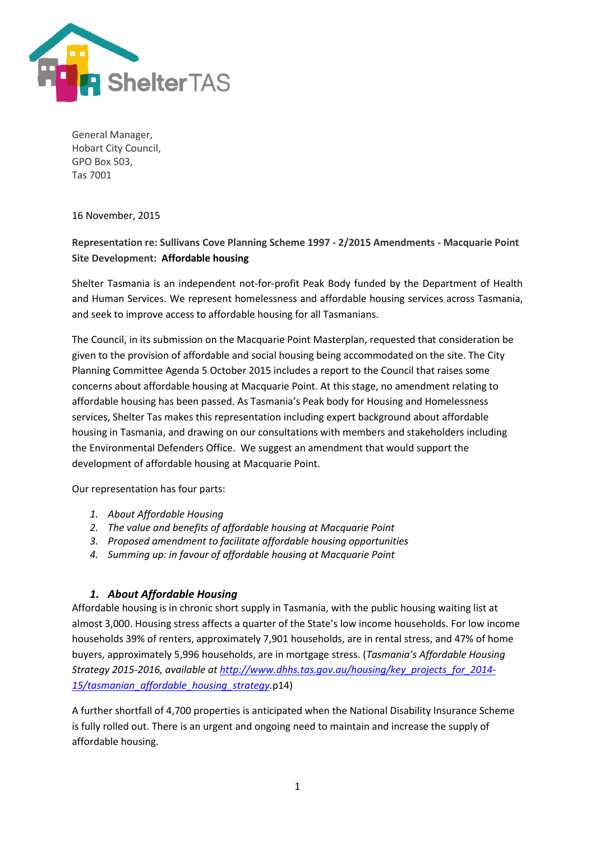

General Manager, Hobart City Council, GPO Box 503, Tas 7001

16 November, 2015

# **Representation re: Sullivans Cove Planning Scheme 1997 - 2/2015 Amendments - Macquarie Point Site Development: Affordable housing**

Shelter Tasmania is an independent not-for-profit Peak Body funded by the Department of Health and Human Services. We represent homelessness and affordable housing services across Tasmania, and seek to improve access to affordable housing for all Tasmanians.

The Council, in its submission on the Macquarie Point Masterplan, requested that consideration be given to the provision of affordable and social housing being accommodated on the site. The City Planning Committee Agenda 5 October 2015 includes a report to the Council that raises some concerns about affordable housing at Macquarie Point. At this stage, no amendment relating to affordable housing has been passed. As Tasmania's Peak body for Housing and Homelessness services, Shelter Tas makes this representation including expert background about affordable housing in Tasmania, and drawing on our consultations with members and stakeholders including the Environmental Defenders Office. We suggest an amendment that would support the development of affordable housing at Macquarie Point.

Our representation has four parts:

- *1. About Affordable Housing*
- *2. The value and benefits of affordable housing at Macquarie Point*
- *3. Proposed amendment to facilitate affordable housing opportunities*
- *4. Summing up: in favour of affordable housing at Macquarie Point*

# *1. About Affordable Housing*

Affordable housing is in chronic short supply in Tasmania, with the public housing waiting list at almost 3,000. Housing stress affects a quarter of the State's low income households. For low income households 39% of renters, approximately 7,901 households, are in rental stress, and 47% of home buyers, approximately 5,996 households, are in mortgage stress. (*Tasmania's Affordable Housing Strategy 2015-2016, available at [http://www.dhhs.tas.gov.au/housing/key\\_projects\\_for\\_2014-](http://www.dhhs.tas.gov.au/housing/key_projects_for_2014-15/tasmanian_affordable_housing_strategy) [15/tasmanian\\_affordable\\_housing\\_strategy.](http://www.dhhs.tas.gov.au/housing/key_projects_for_2014-15/tasmanian_affordable_housing_strategy)*p14)

A further shortfall of 4,700 properties is anticipated when the National Disability Insurance Scheme is fully rolled out. There is an urgent and ongoing need to maintain and increase the supply of affordable housing.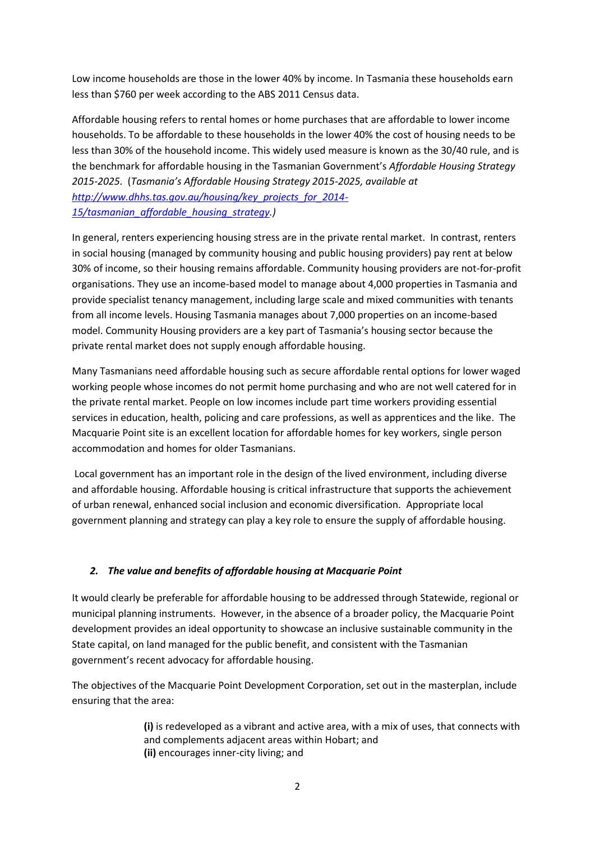Low income households are those in the lower 40% by income. In Tasmania these households earn less than \$760 per week according to the ABS 2011 Census data.

Affordable housing refers to rental homes or home purchases that are affordable to lower income households. To be affordable to these households in the lower 40% the cost of housing needs to be less than 30% of the household income. This widely used measure is known as the 30/40 rule, and is the benchmark for affordable housing in the Tasmanian Government's *Affordable Housing Strategy 2015-2025.* (*Tasmania's Affordable Housing Strategy 2015-2025, available at [http://www.dhhs.tas.gov.au/housing/key\\_projects\\_for\\_2014-](http://www.dhhs.tas.gov.au/housing/key_projects_for_2014-15/tasmanian_affordable_housing_strategy) [15/tasmanian\\_affordable\\_housing\\_strategy.](http://www.dhhs.tas.gov.au/housing/key_projects_for_2014-15/tasmanian_affordable_housing_strategy))*

In general, renters experiencing housing stress are in the private rental market. In contrast, renters in social housing (managed by community housing and public housing providers) pay rent at below 30% of income, so their housing remains affordable. Community housing providers are not-for-profit organisations. They use an income-based model to manage about 4,000 properties in Tasmania and provide specialist tenancy management, including large scale and mixed communities with tenants from all income levels. Housing Tasmania manages about 7,000 properties on an income-based model. Community Housing providers are a key part of Tasmania's housing sector because the private rental market does not supply enough affordable housing.

Many Tasmanians need affordable housing such as secure affordable rental options for lower waged working people whose incomes do not permit home purchasing and who are not well catered for in the private rental market. People on low incomes include part time workers providing essential services in education, health, policing and care professions, as well as apprentices and the like. The Macquarie Point site is an excellent location for affordable homes for key workers, single person accommodation and homes for older Tasmanians.

Local government has an important role in the design of the lived environment, including diverse and affordable housing. Affordable housing is critical infrastructure that supports the achievement of urban renewal, enhanced social inclusion and economic diversification. Appropriate local government planning and strategy can play a key role to ensure the supply of affordable housing.

# *2. The value and benefits of affordable housing at Macquarie Point*

It would clearly be preferable for affordable housing to be addressed through Statewide, regional or municipal planning instruments. However, in the absence of a broader policy, the Macquarie Point development provides an ideal opportunity to showcase an inclusive sustainable community in the State capital, on land managed for the public benefit, and consistent with the Tasmanian government's recent advocacy for affordable housing.

The objectives of the Macquarie Point Development Corporation, set out in the masterplan, include ensuring that the area:

> **(i)** is redeveloped as a vibrant and active area, with a mix of uses, that connects with and complements adjacent areas within Hobart; and **(ii)** encourages inner-city living; and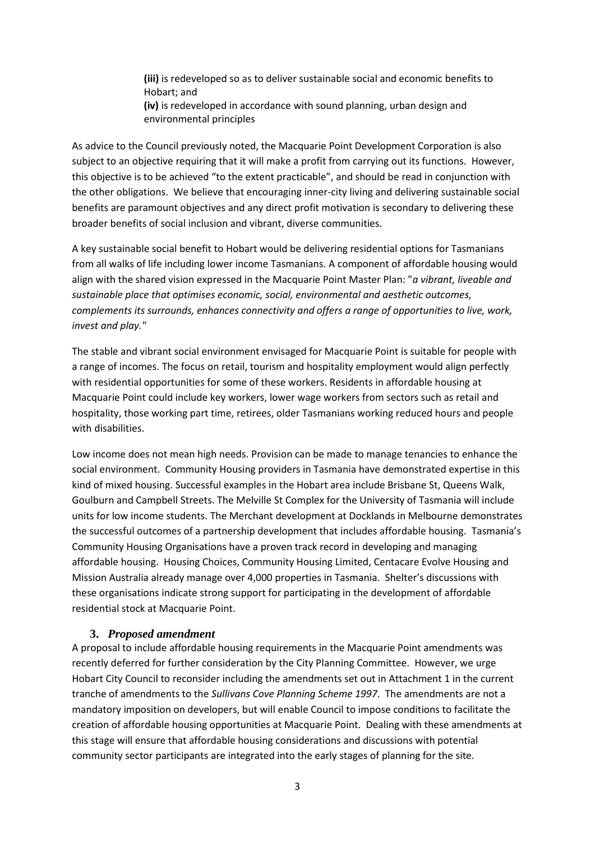**(iii)** is redeveloped so as to deliver sustainable social and economic benefits to Hobart; and

**(iv)** is redeveloped in accordance with sound planning, urban design and environmental principles

As advice to the Council previously noted, the Macquarie Point Development Corporation is also subject to an objective requiring that it will make a profit from carrying out its functions. However, this objective is to be achieved "to the extent practicable", and should be read in conjunction with the other obligations. We believe that encouraging inner-city living and delivering sustainable social benefits are paramount objectives and any direct profit motivation is secondary to delivering these broader benefits of social inclusion and vibrant, diverse communities.

A key sustainable social benefit to Hobart would be delivering residential options for Tasmanians from all walks of life including lower income Tasmanians. A component of affordable housing would align with the shared vision expressed in the Macquarie Point Master Plan: "*a vibrant, liveable and sustainable place that optimises economic, social, environmental and aesthetic outcomes, complements its surrounds, enhances connectivity and offers a range of opportunities to live, work, invest and play."*

The stable and vibrant social environment envisaged for Macquarie Point is suitable for people with a range of incomes. The focus on retail, tourism and hospitality employment would align perfectly with residential opportunities for some of these workers. Residents in affordable housing at Macquarie Point could include key workers, lower wage workers from sectors such as retail and hospitality, those working part time, retirees, older Tasmanians working reduced hours and people with disabilities.

Low income does not mean high needs. Provision can be made to manage tenancies to enhance the social environment. Community Housing providers in Tasmania have demonstrated expertise in this kind of mixed housing. Successful examples in the Hobart area include Brisbane St, Queens Walk, Goulburn and Campbell Streets. The Melville St Complex for the University of Tasmania will include units for low income students. The Merchant development at Docklands in Melbourne demonstrates the successful outcomes of a partnership development that includes affordable housing. Tasmania's Community Housing Organisations have a proven track record in developing and managing affordable housing. Housing Choices, Community Housing Limited, Centacare Evolve Housing and Mission Australia already manage over 4,000 properties in Tasmania. Shelter's discussions with these organisations indicate strong support for participating in the development of affordable residential stock at Macquarie Point.

#### **3.** *Proposed amendment*

A proposal to include affordable housing requirements in the Macquarie Point amendments was recently deferred for further consideration by the City Planning Committee. However, we urge Hobart City Council to reconsider including the amendments set out in Attachment 1 in the current tranche of amendments to the *Sullivans Cove Planning Scheme 1997*. The amendments are not a mandatory imposition on developers, but will enable Council to impose conditions to facilitate the creation of affordable housing opportunities at Macquarie Point. Dealing with these amendments at this stage will ensure that affordable housing considerations and discussions with potential community sector participants are integrated into the early stages of planning for the site.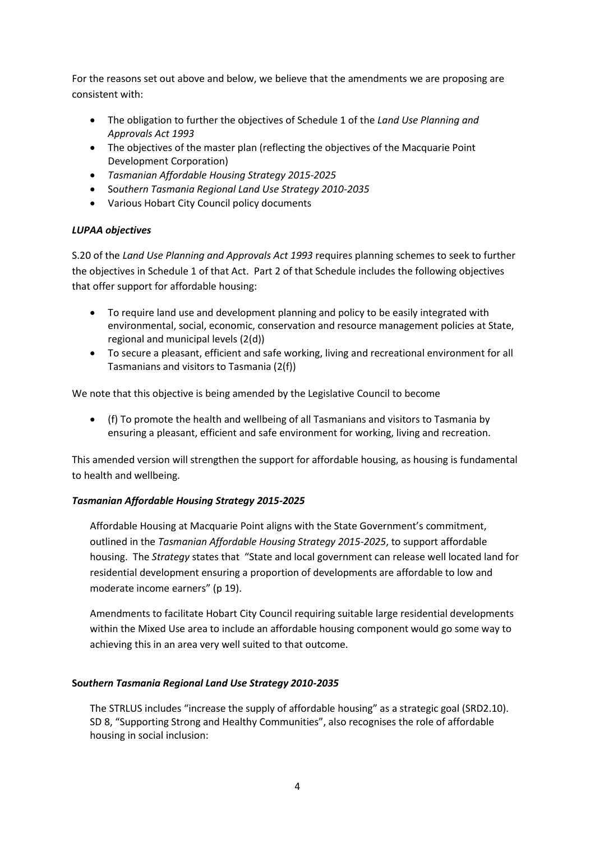For the reasons set out above and below, we believe that the amendments we are proposing are consistent with:

- The obligation to further the objectives of Schedule 1 of the *Land Use Planning and Approvals Act 1993*
- The objectives of the master plan (reflecting the objectives of the Macquarie Point Development Corporation)
- *Tasmanian Affordable Housing Strategy 2015-2025*
- So*uthern Tasmania Regional Land Use Strategy 2010-2035*
- Various Hobart City Council policy documents

### *LUPAA objectives*

S.20 of the *Land Use Planning and Approvals Act 1993* requires planning schemes to seek to further the objectives in Schedule 1 of that Act. Part 2 of that Schedule includes the following objectives that offer support for affordable housing:

- To require land use and development planning and policy to be easily integrated with environmental, social, economic, conservation and resource management policies at State, regional and municipal levels (2(d))
- To secure a pleasant, efficient and safe working, living and recreational environment for all Tasmanians and visitors to Tasmania (2(f))

We note that this objective is being amended by the Legislative Council to become

 (f) To promote the health and wellbeing of all Tasmanians and visitors to Tasmania by ensuring a pleasant, efficient and safe environment for working, living and recreation.

This amended version will strengthen the support for affordable housing, as housing is fundamental to health and wellbeing.

# *Tasmanian Affordable Housing Strategy 2015-2025*

Affordable Housing at Macquarie Point aligns with the State Government's commitment, outlined in the *Tasmanian Affordable Housing Strategy 2015-2025*, to support affordable housing. The *Strategy* states that "State and local government can release well located land for residential development ensuring a proportion of developments are affordable to low and moderate income earners" (p 19).

Amendments to facilitate Hobart City Council requiring suitable large residential developments within the Mixed Use area to include an affordable housing component would go some way to achieving this in an area very well suited to that outcome.

#### **So***uthern Tasmania Regional Land Use Strategy 2010-2035*

The STRLUS includes "increase the supply of affordable housing" as a strategic goal (SRD2.10). SD 8, "Supporting Strong and Healthy Communities", also recognises the role of affordable housing in social inclusion: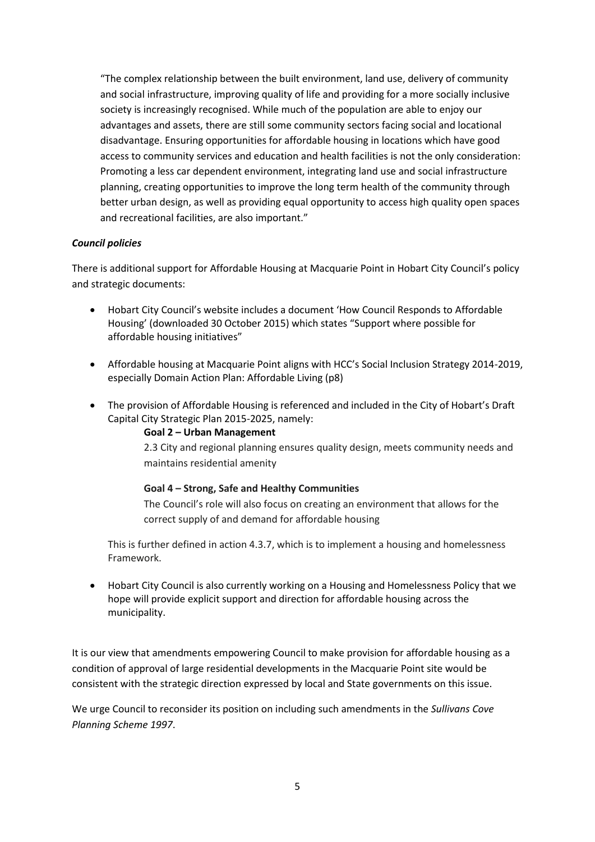"The complex relationship between the built environment, land use, delivery of community and social infrastructure, improving quality of life and providing for a more socially inclusive society is increasingly recognised. While much of the population are able to enjoy our advantages and assets, there are still some community sectors facing social and locational disadvantage. Ensuring opportunities for affordable housing in locations which have good access to community services and education and health facilities is not the only consideration: Promoting a less car dependent environment, integrating land use and social infrastructure planning, creating opportunities to improve the long term health of the community through better urban design, as well as providing equal opportunity to access high quality open spaces and recreational facilities, are also important."

# *Council policies*

There is additional support for Affordable Housing at Macquarie Point in Hobart City Council's policy and strategic documents:

- Hobart City Council's website includes a document 'How Council Responds to Affordable Housing' (downloaded 30 October 2015) which states "Support where possible for affordable housing initiatives"
- Affordable housing at Macquarie Point aligns with HCC's Social Inclusion Strategy 2014-2019, especially Domain Action Plan: Affordable Living (p8)
- The provision of Affordable Housing is referenced and included in the City of Hobart's Draft Capital City Strategic Plan 2015-2025, namely:

### **Goal 2 – Urban Management**

2.3 City and regional planning ensures quality design, meets community needs and maintains residential amenity

#### **Goal 4 – Strong, Safe and Healthy Communities**

The Council's role will also focus on creating an environment that allows for the correct supply of and demand for affordable housing

This is further defined in action 4.3.7, which is to implement a housing and homelessness Framework.

 Hobart City Council is also currently working on a Housing and Homelessness Policy that we hope will provide explicit support and direction for affordable housing across the municipality.

It is our view that amendments empowering Council to make provision for affordable housing as a condition of approval of large residential developments in the Macquarie Point site would be consistent with the strategic direction expressed by local and State governments on this issue.

We urge Council to reconsider its position on including such amendments in the *Sullivans Cove Planning Scheme 1997*.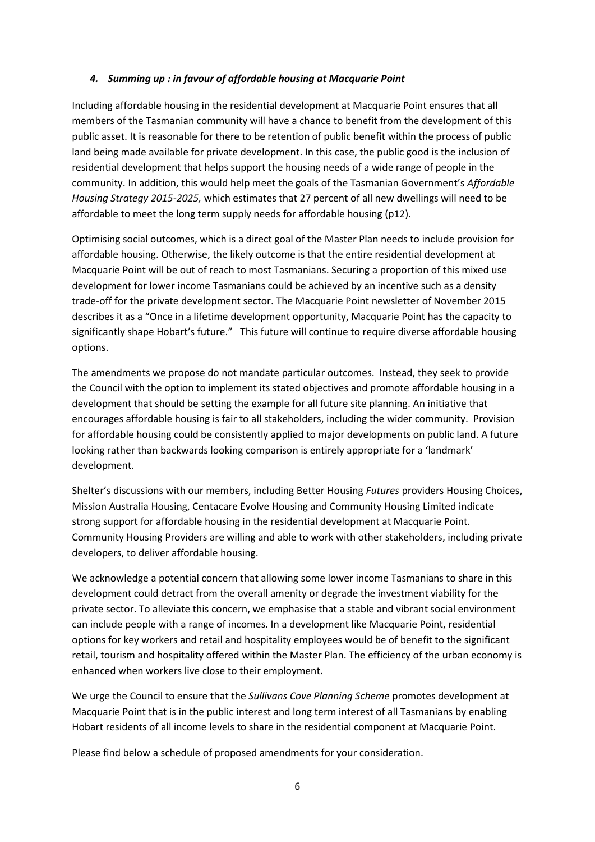### *4. Summing up : in favour of affordable housing at Macquarie Point*

Including affordable housing in the residential development at Macquarie Point ensures that all members of the Tasmanian community will have a chance to benefit from the development of this public asset. It is reasonable for there to be retention of public benefit within the process of public land being made available for private development. In this case, the public good is the inclusion of residential development that helps support the housing needs of a wide range of people in the community. In addition, this would help meet the goals of the Tasmanian Government's *Affordable Housing Strategy 2015-2025,* which estimates that 27 percent of all new dwellings will need to be affordable to meet the long term supply needs for affordable housing (p12).

Optimising social outcomes, which is a direct goal of the Master Plan needs to include provision for affordable housing. Otherwise, the likely outcome is that the entire residential development at Macquarie Point will be out of reach to most Tasmanians. Securing a proportion of this mixed use development for lower income Tasmanians could be achieved by an incentive such as a density trade-off for the private development sector. The Macquarie Point newsletter of November 2015 describes it as a "Once in a lifetime development opportunity, Macquarie Point has the capacity to significantly shape Hobart's future." This future will continue to require diverse affordable housing options.

The amendments we propose do not mandate particular outcomes. Instead, they seek to provide the Council with the option to implement its stated objectives and promote affordable housing in a development that should be setting the example for all future site planning. An initiative that encourages affordable housing is fair to all stakeholders, including the wider community. Provision for affordable housing could be consistently applied to major developments on public land. A future looking rather than backwards looking comparison is entirely appropriate for a 'landmark' development.

Shelter's discussions with our members, including Better Housing *Futures* providers Housing Choices, Mission Australia Housing, Centacare Evolve Housing and Community Housing Limited indicate strong support for affordable housing in the residential development at Macquarie Point. Community Housing Providers are willing and able to work with other stakeholders, including private developers, to deliver affordable housing.

We acknowledge a potential concern that allowing some lower income Tasmanians to share in this development could detract from the overall amenity or degrade the investment viability for the private sector. To alleviate this concern, we emphasise that a stable and vibrant social environment can include people with a range of incomes. In a development like Macquarie Point, residential options for key workers and retail and hospitality employees would be of benefit to the significant retail, tourism and hospitality offered within the Master Plan. The efficiency of the urban economy is enhanced when workers live close to their employment.

We urge the Council to ensure that the *Sullivans Cove Planning Scheme* promotes development at Macquarie Point that is in the public interest and long term interest of all Tasmanians by enabling Hobart residents of all income levels to share in the residential component at Macquarie Point.

Please find below a schedule of proposed amendments for your consideration.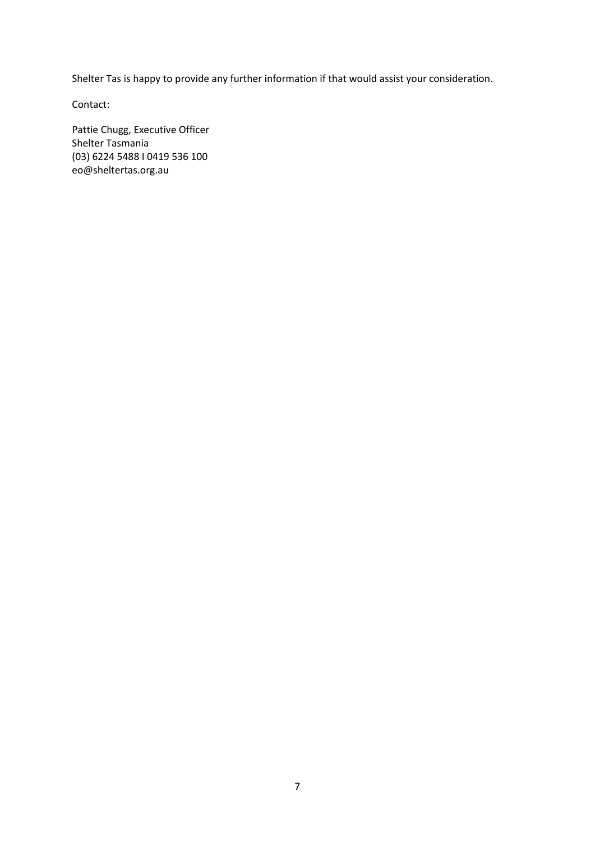Shelter Tas is happy to provide any further information if that would assist your consideration.

Contact:

Pattie Chugg, Executive Officer Shelter Tasmania (03) 6224 5488 I 0419 536 100 eo@sheltertas.org.au